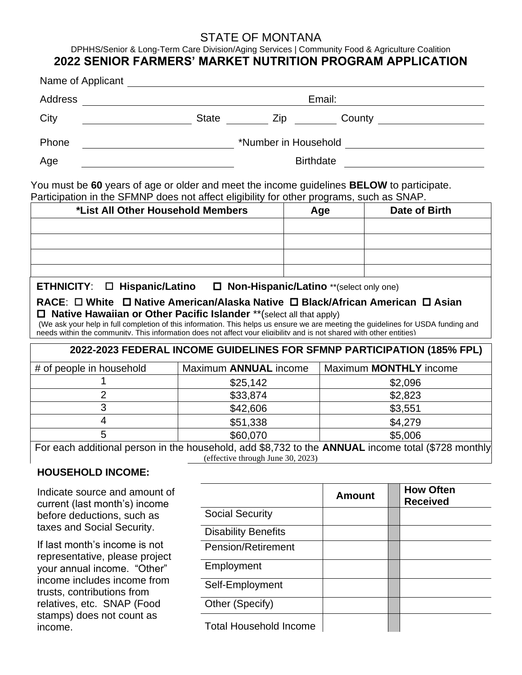# STATE OF MONTANA

DPHHS/Senior & Long-Term Care Division/Aging Services | Community Food & Agriculture Coalition **2022 SENIOR FARMERS' MARKET NUTRITION PROGRAM APPLICATION**

| Address |                      | Email: |        |  |  |  |
|---------|----------------------|--------|--------|--|--|--|
| City    | <b>State</b>         | Zip    | County |  |  |  |
| Phone   | *Number in Household |        |        |  |  |  |
| Age     | <b>Birthdate</b>     |        |        |  |  |  |

| *List All Other Household Members | Age | Date of Birth |
|-----------------------------------|-----|---------------|
|                                   |     |               |
|                                   |     |               |
|                                   |     |               |
|                                   |     |               |

**ETHNICITY**: **Hispanic/Latino Non-Hispanic/Latino** \*\*(select only one)

## **RACE**: **White Native American/Alaska Native Black/African American Asian Native Hawaiian or Other Pacific Islander** \*\*(select all that apply)

(We ask your help in full completion of this information. This helps us ensure we are meeting the guidelines for USDA funding and needs within the community. This information does not affect your eligibility and is not shared with other entities)

### **2022-2023 FEDERAL INCOME GUIDELINES FOR SFMNP PARTICIPATION (185% FPL)**

| # of people in household                                                                       | Maximum ANNUAL income | Maximum <b>MONTHLY</b> income |  |  |  |
|------------------------------------------------------------------------------------------------|-----------------------|-------------------------------|--|--|--|
|                                                                                                | \$25,142              | \$2,096                       |  |  |  |
|                                                                                                | \$33,874              | \$2,823                       |  |  |  |
|                                                                                                | \$42,606              | \$3,551                       |  |  |  |
|                                                                                                | \$51,338              | \$4,279                       |  |  |  |
|                                                                                                | \$60,070              | \$5,006                       |  |  |  |
| For sook additional negative the household add CO 700 to the ANNULAL income total (C700 month) |                       |                               |  |  |  |

For each additional person in the household, add \$8,732 to the **ANNUAL** income total (\$728 monthly) (effective through June 30, 2023)

### **HOUSEHOLD INCOME:**

Indicate source and amount of current (last month's) income before deductions, such as taxes and Social Security.

If last month's income is not representative, please project your annual income. "Other" income includes income from trusts, contributions from relatives, etc. SNAP (Food stamps) does not count as income.

|                               | <b>Amount</b> | <b>How Often</b><br><b>Received</b> |
|-------------------------------|---------------|-------------------------------------|
| <b>Social Security</b>        |               |                                     |
| <b>Disability Benefits</b>    |               |                                     |
| <b>Pension/Retirement</b>     |               |                                     |
| Employment                    |               |                                     |
| Self-Employment               |               |                                     |
| Other (Specify)               |               |                                     |
| <b>Total Household Income</b> |               |                                     |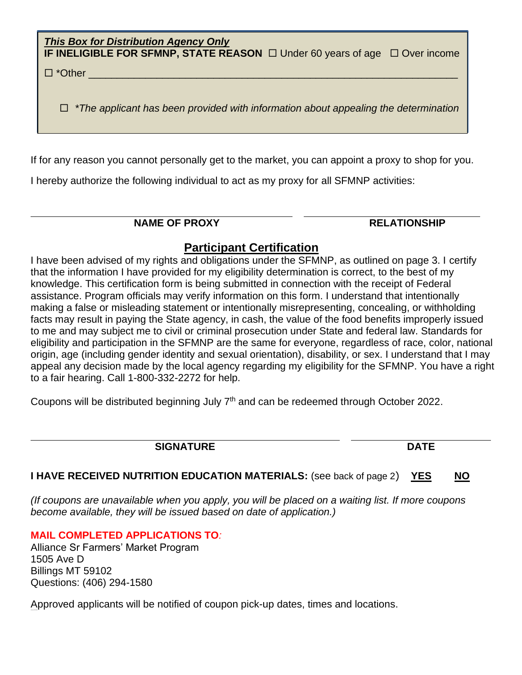*This Box for Distribution Agency Only* **IF INELIGIBLE FOR SFMNP, STATE REASON** □ Under 60 years of age □ Over income

 $\square$  \*Other

*\*The applicant has been provided with information about appealing the determination*

If for any reason you cannot personally get to the market, you can appoint a proxy to shop for you.

I hereby authorize the following individual to act as my proxy for all SFMNP activities:

### **NAME OF PROXY**  AND **RELATIONSHIP**

# **Participant Certification**

I have been advised of my rights and obligations under the SFMNP, as outlined on page 3. I certify that the information I have provided for my eligibility determination is correct, to the best of my knowledge. This certification form is being submitted in connection with the receipt of Federal assistance. Program officials may verify information on this form. I understand that intentionally making a false or misleading statement or intentionally misrepresenting, concealing, or withholding facts may result in paying the State agency, in cash, the value of the food benefits improperly issued to me and may subject me to civil or criminal prosecution under State and federal law. Standards for eligibility and participation in the SFMNP are the same for everyone, regardless of race, color, national origin, age (including gender identity and sexual orientation), disability, or sex. I understand that I may appeal any decision made by the local agency regarding my eligibility for the SFMNP. You have a right to a fair hearing. Call 1-800-332-2272 for help.

Coupons will be distributed beginning July 7<sup>th</sup> and can be redeemed through October 2022.

## **SIGNATURE DATE**

**I HAVE RECEIVED NUTRITION EDUCATION MATERIALS:** (see back of page 2) **YES NO**

*(If coupons are unavailable when you apply, you will be placed on a waiting list. If more coupons become available, they will be issued based on date of application.)*

### **MAIL COMPLETED APPLICATIONS TO***:*

Alliance Sr Farmers' Market Program 1505 Ave D Billings MT 59102 Questions: (406) 294-1580

Approved applicants will be notified of coupon pick-up dates, times and locations. (Revise 5/3/2022)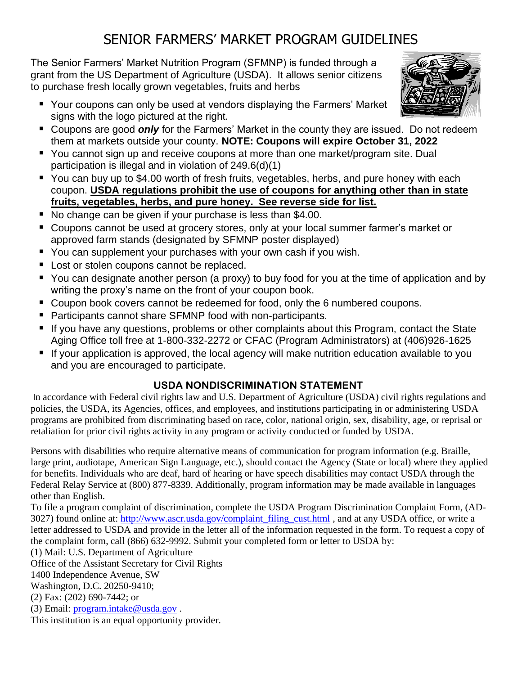# SENIOR FARMERS' MARKET PROGRAM GUIDELINES

The Senior Farmers' Market Nutrition Program (SFMNP) is funded through a grant from the US Department of Agriculture (USDA). It allows senior citizens to purchase fresh locally grown vegetables, fruits and herbs

- Your coupons can only be used at vendors displaying the Farmers' Market signs with the logo pictured at the right.
- Coupons are good **only** for the Farmers' Market in the county they are issued. Do not redeem them at markets outside your county. **NOTE: Coupons will expire October 31, 2022**
- You cannot sign up and receive coupons at more than one market/program site. Dual participation is illegal and in violation of 249.6(d)(1)
- You can buy up to \$4.00 worth of fresh fruits, vegetables, herbs, and pure honey with each coupon. **USDA regulations prohibit the use of coupons for anything other than in state fruits, vegetables, herbs, and pure honey. See reverse side for list.**
- No change can be given if your purchase is less than \$4.00.
- Coupons cannot be used at grocery stores, only at your local summer farmer's market or approved farm stands (designated by SFMNP poster displayed)
- You can supplement your purchases with your own cash if you wish.
- Lost or stolen coupons cannot be replaced.
- You can designate another person (a proxy) to buy food for you at the time of application and by writing the proxy's name on the front of your coupon book.
- Coupon book covers cannot be redeemed for food, only the 6 numbered coupons.
- Participants cannot share SFMNP food with non-participants.
- If you have any questions, problems or other complaints about this Program, contact the State Aging Office toll free at 1-800-332-2272 or CFAC (Program Administrators) at (406)926-1625
- If your application is approved, the local agency will make nutrition education available to you and you are encouraged to participate.

# **USDA NONDISCRIMINATION STATEMENT**

In accordance with Federal civil rights law and U.S. Department of Agriculture (USDA) civil rights regulations and policies, the USDA, its Agencies, offices, and employees, and institutions participating in or administering USDA programs are prohibited from discriminating based on race, color, national origin, sex, disability, age, or reprisal or retaliation for prior civil rights activity in any program or activity conducted or funded by USDA.

Persons with disabilities who require alternative means of communication for program information (e.g. Braille, large print, audiotape, American Sign Language, etc.), should contact the Agency (State or local) where they applied for benefits. Individuals who are deaf, hard of hearing or have speech disabilities may contact USDA through the Federal Relay Service at (800) 877-8339. Additionally, program information may be made available in languages other than English.

To file a program complaint of discrimination, complete the USDA Program Discrimination Complaint Form, (AD-3027) found online at: [http://www.ascr.usda.gov/complaint\\_filing\\_cust.html](http://www.ascr.usda.gov/complaint_filing_cust.html) , and at any USDA office, or write a letter addressed to USDA and provide in the letter all of the information requested in the form. To request a copy of the complaint form, call (866) 632-9992. Submit your completed form or letter to USDA by:

(1) Mail: U.S. Department of Agriculture

Office of the Assistant Secretary for Civil Rights

1400 Independence Avenue, SW

Washington, D.C. 20250-9410;

(2) Fax: (202) 690-7442; or

(3) Email: [program.intake@usda.gov](mailto:program.intake@usda.gov) .

This institution is an equal opportunity provider.